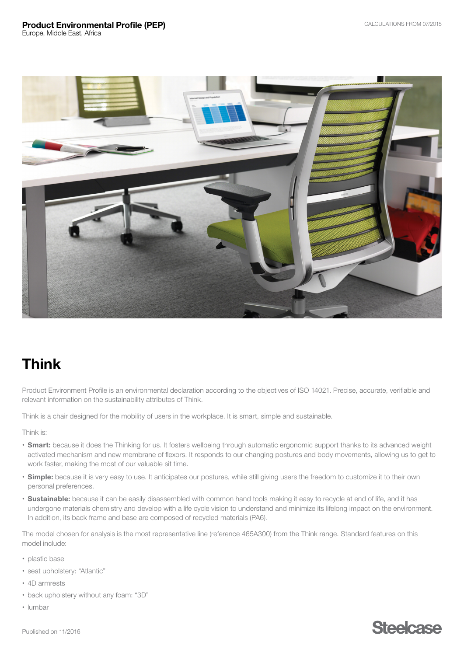Product Environmental Profile (PEP)

Europe, Middle East, Africa



# Think

Product Environment Profile is an environmental declaration according to the objectives of ISO 14021. Precise, accurate, verifiable and relevant information on the sustainability attributes of Think.

Think is a chair designed for the mobility of users in the workplace. It is smart, simple and sustainable.

Think is:

- Smart: because it does the Thinking for us. It fosters wellbeing through automatic ergonomic support thanks to its advanced weight activated mechanism and new membrane of flexors. It responds to our changing postures and body movements, allowing us to get to work faster, making the most of our valuable sit time.
- Simple: because it is very easy to use. It anticipates our postures, while still giving users the freedom to customize it to their own personal preferences.
- Sustainable: because it can be easily disassembled with common hand tools making it easy to recycle at end of life, and it has undergone materials chemistry and develop with a life cycle vision to understand and minimize its lifelong impact on the environment. In addition, its back frame and base are composed of recycled materials (PA6).

The model chosen for analysis is the most representative line (reference 465A300) from the Think range. Standard features on this model include:

- plastic base
- seat upholstery: "Atlantic"
- 4D armrests
- back upholstery without any foam: "3D"
- lumbar

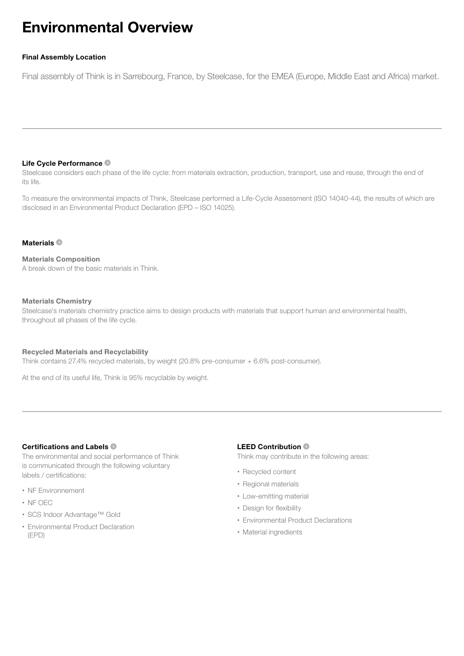# Environmental Overview

## Final Assembly Location

Final assembly of Think is in Sarrebourg, France, by Steelcase, for the EMEA (Europe, Middle East and Africa) market.

### [Life Cycle Performance](#page-2-0)

Steelcase considers each phase of the life cycle: from materials extraction, production, transport, use and reuse, through the end of its life.

To measure the environmental impacts of Think, Steelcase performed a Life-Cycle Assessment (ISO 14040-44), the results of which are disclosed in an Environmental Product Declaration (EPD – ISO 14025).

### Materials<sup>®</sup>

## Materials Composition

A break down of the basic materials in Think.

### Materials Chemistry

Steelcase's materials chemistry practice aims to design products with materials that support human and environmental health, throughout all phases of the life cycle.

### Recycled Materials and Recyclability

Think contains 27.4% recycled materials, by weight (20.8% pre-consumer + 6.6% post-consumer).

At the end of its useful life, Think is 95% recyclable by weight.

## [Certifications and Labels](#page-5-0)

The environmental and social performance of Think is communicated through the following voluntary labels / certifications:

- NF Environnement
- NF OEC
- SCS Indoor Advantage™ Gold
- Environmental Product Declaration (EPD)

## LEED Contribution

Think may contribute in the following areas:

- Recycled content
- Regional materials
- Low-emitting material
- Design for flexibility
- Environmental Product Declarations
- Material ingredients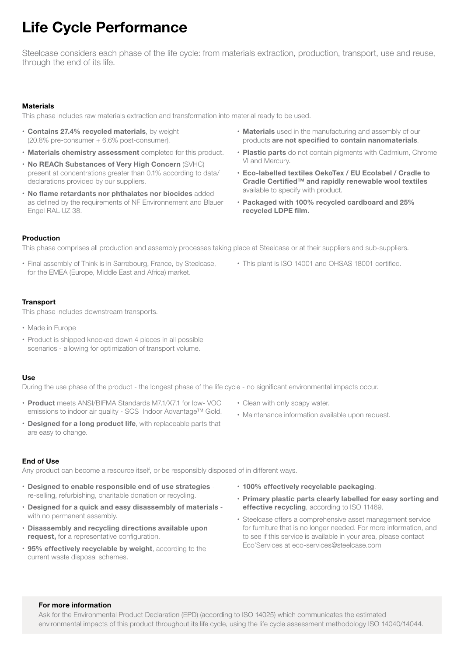# <span id="page-2-0"></span>Life Cycle Performance

Steelcase considers each phase of the life cycle: from materials extraction, production, transport, use and reuse, through the end of its life.

### **Materials**

This phase includes raw materials extraction and transformation into material ready to be used.

- Contains 27.4% recycled materials, by weight (20.8% pre-consumer + 6.6% post-consumer).
- Materials chemistry assessment completed for this product.
- No REACh Substances of Very High Concern (SVHC) present at concentrations greater than 0.1% according to data/ declarations provided by our suppliers.
- No flame retardants nor phthalates nor biocides added as defined by the requirements of NF Environnement and Blauer Engel RAL-UZ 38.
- Materials used in the manufacturing and assembly of our products are not specified to contain nanomaterials.
- Plastic parts do not contain pigments with Cadmium, Chrome VI and Mercury.
- Eco-labelled textiles OekoTex / EU Ecolabel / Cradle to Cradle Certified™ and rapidly renewable wool textiles available to specify with product.
- Packaged with 100% recycled cardboard and 25% recycled LDPE film.

### Production

This phase comprises all production and assembly processes taking place at Steelcase or at their suppliers and sub-suppliers.

- Final assembly of Think is in Sarrebourg, France, by Steelcase, for the EMEA (Europe, Middle East and Africa) market.
- This plant is ISO 14001 and OHSAS 18001 certified.

### **Transport**

This phase includes downstream transports.

- Made in Europe
- Product is shipped knocked down 4 pieces in all possible scenarios - allowing for optimization of transport volume.

### Use

During the use phase of the product - the longest phase of the life cycle - no significant environmental impacts occur.

- Product meets ANSI/BIFMA Standards M7.1/X7.1 for low- VOC emissions to indoor air quality - SCS Indoor Advantage™ Gold.
- Designed for a long product life, with replaceable parts that are easy to change.

### End of Use

Any product can become a resource itself, or be responsibly disposed of in different ways.

- Designed to enable responsible end of use strategies re-selling, refurbishing, charitable donation or recycling.
- Designed for a quick and easy disassembly of materials with no permanent assembly.
- Disassembly and recycling directions available upon request, for a representative configuration.
- 95% effectively recyclable by weight, according to the current waste disposal schemes.
- Clean with only soapy water.
- Maintenance information available upon request.
- 100% effectively recyclable packaging.
- Primary plastic parts clearly labelled for easy sorting and effective recycling, according to ISO 11469.
- Steelcase offers a comprehensive asset management service for furniture that is no longer needed. For more information, and to see if this service is available in your area, please contact Eco'Services at eco-services@steelcase.com

### For more information

Ask for the Environmental Product Declaration (EPD) (according to ISO 14025) which communicates the estimated environmental impacts of this product throughout its life cycle, using the life cycle assessment methodology ISO 14040/14044.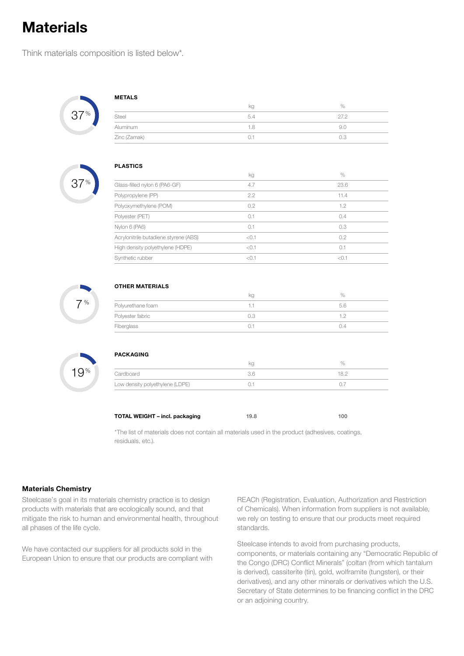# <span id="page-3-0"></span>**Materials**

Think materials composition is listed below\*.



| <b>METALS</b> |     |      |  |
|---------------|-----|------|--|
|               | kg  | $\%$ |  |
| Steel         | 5.4 | 27.2 |  |
| Aluminum      | 1.8 | 9.0  |  |
| Zinc (Zamak)  | 0.1 | 0.3  |  |
|               |     |      |  |



|                                       | kg    | $\%$  |
|---------------------------------------|-------|-------|
| Glass-filled nylon 6 (PA6-GF)         | 4.7   | 23.6  |
| Polypropylene (PP)                    | 2.2   | 11.4  |
| Polyoxymethylene (POM)                | 0.2   | 1.2   |
| Polyester (PET)                       | 0.1   | 0.4   |
| Nylon 6 (PA6)                         | 0.1   | 0.3   |
| Acrylonitrile butadiene styrene (ABS) | < 0.1 | 0.2   |
| High density polyethylene (HDPE)      | < 0.1 | 0.1   |
| Synthetic rubber                      | < 0.1 | < 0.1 |

 $7%$ 

## OTHER MATERIALS

|                   | кg |     |
|-------------------|----|-----|
| Polyurethane foam |    | h h |
| Polyester fabric  |    |     |
| Fiberglass        |    | ()4 |



| PACKAGING                       |     |      |
|---------------------------------|-----|------|
|                                 | kg  | $\%$ |
| Cardboard                       | 3.6 | 18.2 |
| Low density polyethylene (LDPE) |     |      |

TOTAL WEIGHT – incl. packaging 19.8 100

\*The list of materials does not contain all materials used in the product (adhesives, coatings, residuals, etc.).

### Materials Chemistry

Steelcase's goal in its materials chemistry practice is to design products with materials that are ecologically sound, and that mitigate the risk to human and environmental health, throughout all phases of the life cycle.

We have contacted our suppliers for all products sold in the European Union to ensure that our products are compliant with REACh (Registration, Evaluation, Authorization and Restriction of Chemicals). When information from suppliers is not available, we rely on testing to ensure that our products meet required standards.

Steelcase intends to avoid from purchasing products, components, or materials containing any "Democratic Republic of the Congo (DRC) Conflict Minerals" (coltan (from which tantalum is derived), cassiterite (tin), gold, wolframite (tungsten), or their derivatives), and any other minerals or derivatives which the U.S. Secretary of State determines to be financing conflict in the DRC or an adjoining country.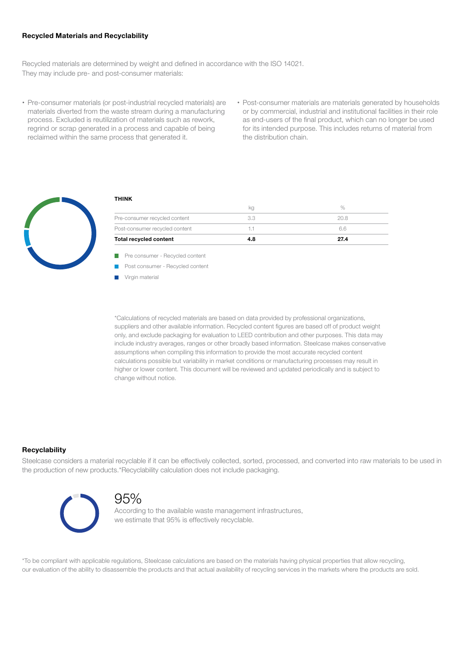### Recycled Materials and Recyclability

Recycled materials are determined by weight and defined in accordance with the ISO 14021. They may include pre- and post-consumer materials:

- Pre-consumer materials (or post-industrial recycled materials) are materials diverted from the waste stream during a manufacturing process. Excluded is reutilization of materials such as rework, regrind or scrap generated in a process and capable of being reclaimed within the same process that generated it.
- Post-consumer materials are materials generated by households or by commercial, industrial and institutional facilities in their role as end-users of the final product, which can no longer be used for its intended purpose. This includes returns of material from the distribution chain.



## THINK

| Total recycled content         | 4.8 | 27.4 |
|--------------------------------|-----|------|
| Post-consumer recycled content |     | 66   |
| Pre-consumer recycled content  |     | 20 B |
|                                | кg  |      |

 $\overline{\phantom{a}}$ Pre consumer - Recycled content

 $\blacksquare$ Post consumer - Recycled content

П Virgin material

\*Calculations of recycled materials are based on data provided by professional organizations, suppliers and other available information. Recycled content figures are based off of product weight only, and exclude packaging for evaluation to LEED contribution and other purposes. This data may include industry averages, ranges or other broadly based information. Steelcase makes conservative assumptions when compiling this information to provide the most accurate recycled content calculations possible but variability in market conditions or manufacturing processes may result in higher or lower content. This document will be reviewed and updated periodically and is subject to change without notice.

### **Recyclability**

Steelcase considers a material recyclable if it can be effectively collected, sorted, processed, and converted into raw materials to be used in the production of new products.\*Recyclability calculation does not include packaging.



## 95%

According to the available waste management infrastructures, we estimate that 95% is effectively recyclable.

\*To be compliant with applicable regulations, Steelcase calculations are based on the materials having physical properties that allow recycling, our evaluation of the ability to disassemble the products and that actual availability of recycling services in the markets where the products are sold.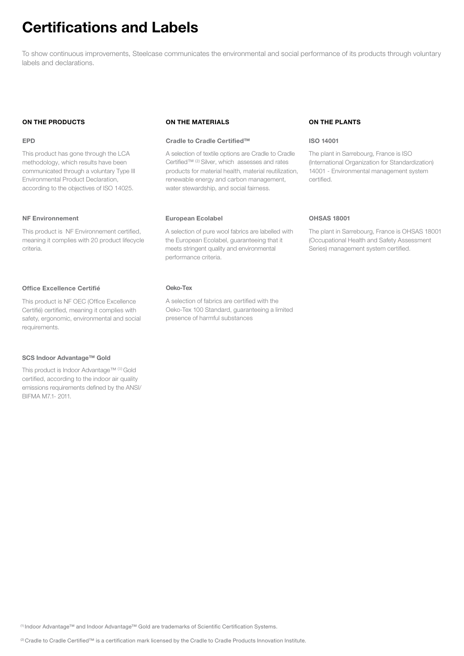# <span id="page-5-0"></span>Certifications and Labels

To show continuous improvements, Steelcase communicates the environmental and social performance of its products through voluntary labels and declarations.

### ON THE PRODUCTS

### EPD

This product has gone through the LCA methodology, which results have been communicated through a voluntary Type III Environmental Product Declaration, according to the objectives of ISO 14025.

### NF Environnement

This product is NF Environnement certified, meaning it complies with 20 product lifecycle criteria.

### Office Excellence Certifié

This product is NF OEC (Office Excellence Certifié) certified, meaning it complies with safety, ergonomic, environmental and social requirements.

#### SCS Indoor Advantage™ Gold

This product is Indoor Advantage™ (1) Gold certified, according to the indoor air quality emissions requirements defined by the ANSI/ BIFMA M7.1- 2011.

### ON THE MATERIALS

### Cradle to Cradle Certified™

A selection of textile options are Cradle to Cradle Certified™ (2) Silver, which assesses and rates products for material health, material reutilization, renewable energy and carbon management, water stewardship, and social fairness.

### European Ecolabel

A selection of pure wool fabrics are labelled with the European Ecolabel, guaranteeing that it meets stringent quality and environmental performance criteria.

### Oeko-Tex

A selection of fabrics are certified with the Oeko-Tex 100 Standard, guaranteeing a limited presence of harmful substances

### ON THE PLANTS

### ISO 14001

The plant in Sarrebourg, France is ISO (International Organization for Standardization) 14001 - Environmental management system certified.

### OHSAS 18001

The plant in Sarrebourg, France is OHSAS 18001 (Occupational Health and Safety Assessment Series) management system certified.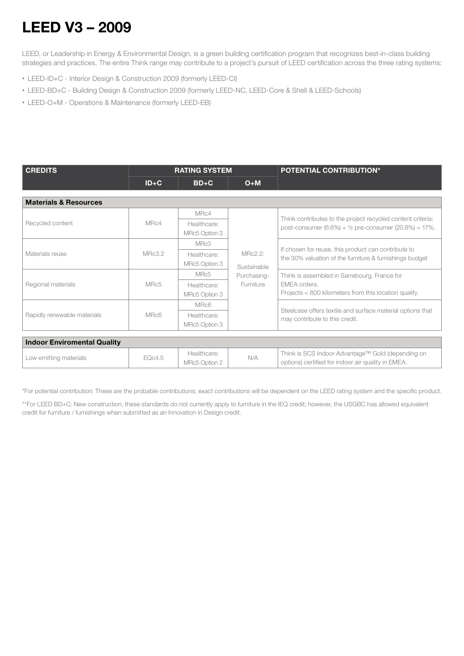# <span id="page-6-0"></span>LEED V3 – 2009

LEED, or Leadership in Energy & Environmental Design, is a green building certification program that recognizes best-in-class building strategies and practices. The entire Think range may contribute to a project's pursuit of LEED certification across the three rating systems:

- LEED-ID+C Interior Design & Construction 2009 (formerly LEED-CI)
- LEED-BD+C Building Design & Construction 2009 (formerly LEED-NC, LEED-Core & Shell & LEED-Schools)
- LEED-O+M Operations & Maintenance (formerly LEED-EB)

| <b>CREDITS</b>                     | <b>RATING SYSTEM</b> |                              |                                                           | <b>POTENTIAL CONTRIBUTION*</b>                                                                                                        |
|------------------------------------|----------------------|------------------------------|-----------------------------------------------------------|---------------------------------------------------------------------------------------------------------------------------------------|
|                                    | $ID + C$             | $BD+C$                       | $O+M$                                                     |                                                                                                                                       |
| <b>Materials &amp; Resources</b>   |                      |                              |                                                           |                                                                                                                                       |
|                                    |                      | MRc4                         |                                                           |                                                                                                                                       |
| Recycled content                   | MRc4                 | Healthcare:<br>MRc5 Option 3 | MRc2.2:<br>Sustainable<br>Purchasing-<br><b>Furniture</b> | Think contributes to the project recycled content criteria:<br>post-consumer $(6.6\%) + \frac{1}{2}$ pre-consumer $(20.8\%) = 17\%$ . |
|                                    | MRc3.2               | MRc3                         |                                                           | If chosen for reuse, this product can contribute to<br>the 30% valuation of the furniture & furnishings budget                        |
| Materials reuse                    |                      | Healthcare:                  |                                                           |                                                                                                                                       |
|                                    |                      | MRc5 Option 3                |                                                           |                                                                                                                                       |
|                                    | MRc5                 | MRc5                         |                                                           | Think is assembled in Sarrebourg, France for<br>EMEA orders.<br>Projects < 800 kilometers from this location qualify.                 |
| Regional materials                 |                      | Healthcare:                  |                                                           |                                                                                                                                       |
|                                    |                      | MRc5 Option 3                |                                                           |                                                                                                                                       |
| Rapidly renewable materials        |                      | MRc6                         |                                                           |                                                                                                                                       |
|                                    | MRc6                 | Healthcare:                  |                                                           | Steelcase offers textile and surface material options that<br>may contribute to this credit.                                          |
|                                    |                      | MRc5 Option 3                |                                                           |                                                                                                                                       |
| <b>Indoor Enviromental Quality</b> |                      |                              |                                                           |                                                                                                                                       |

| Low emitting materials | EQc4.5 | Healthcare:<br>MRc5 Option 2 |  | Think is SCS Indoor Advantage™ Gold (depending on<br>options) certified for indoor air quality in EMEA. |  |
|------------------------|--------|------------------------------|--|---------------------------------------------------------------------------------------------------------|--|

\*For potential contribution: These are the probable contributions; exact contributions will be dependent on the LEED rating system and the specific product.

\*\*For LEED BD+C: New construction, these standards do not currently apply to furniture in the IEQ credit; however, the USGBC has allowed equivalent credit for furniture / furnishings when submitted as an Innovation in Design credit.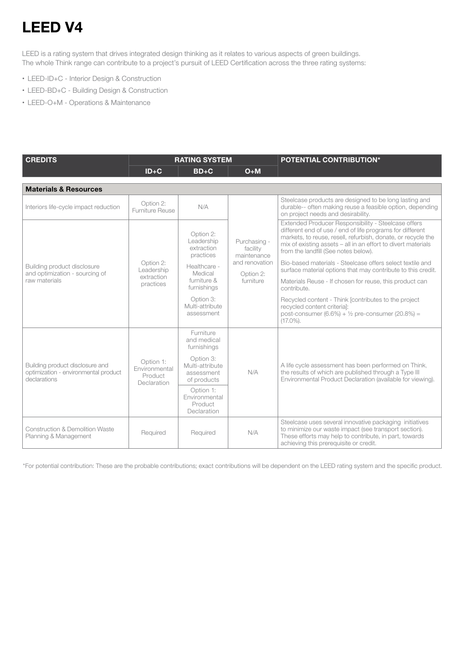# LEED V4

LEED is a rating system that drives integrated design thinking as it relates to various aspects of green buildings. The whole Think range can contribute to a project's pursuit of LEED Certification across the three rating systems:

- LEED-ID+C Interior Design & Construction
- LEED-BD+C Building Design & Construction
- LEED-O+M Operations & Maintenance

| <b>CREDITS</b>                                                                          | <b>RATING SYSTEM</b>                                 |                                                           |                                                                                     | <b>POTENTIAL CONTRIBUTION*</b>                                                                                                                                                                                                                                                            |
|-----------------------------------------------------------------------------------------|------------------------------------------------------|-----------------------------------------------------------|-------------------------------------------------------------------------------------|-------------------------------------------------------------------------------------------------------------------------------------------------------------------------------------------------------------------------------------------------------------------------------------------|
|                                                                                         | $ID + C$                                             | $BD+C$                                                    | $O+M$                                                                               |                                                                                                                                                                                                                                                                                           |
| <b>Materials &amp; Resources</b>                                                        |                                                      |                                                           |                                                                                     |                                                                                                                                                                                                                                                                                           |
| Interiors life-cycle impact reduction                                                   | Option 2:<br>Furniture Reuse                         | N/A                                                       |                                                                                     | Steelcase products are designed to be long lasting and<br>durable-- often making reuse a feasible option, depending<br>on project needs and desirability.                                                                                                                                 |
|                                                                                         |                                                      | Option 2:<br>Leadership<br>extraction<br>practices        | Purchasing -<br>facility<br>maintenance<br>and renovation<br>Option 2:<br>furniture | Extended Producer Responsibility - Steelcase offers<br>different end of use / end of life programs for different<br>markets, to reuse, resell, refurbish, donate, or recycle the<br>mix of existing assets - all in an effort to divert materials<br>from the landfill (See notes below). |
| Building product disclosure<br>and optimization - sourcing of                           | Option 2:<br>Leadership                              | Healthcare -<br>Medical                                   |                                                                                     | Bio-based materials - Steelcase offers select textile and<br>surface material options that may contribute to this credit.                                                                                                                                                                 |
| raw materials                                                                           | extraction<br>practices                              | furniture &<br>furnishings                                |                                                                                     | Materials Reuse - If chosen for reuse, this product can<br>contribute.                                                                                                                                                                                                                    |
|                                                                                         |                                                      | Option 3:<br>Multi-attribute<br>assessment                |                                                                                     | Recycled content - Think [contributes to the project<br>recycled content criterial:<br>post-consumer (6.6%) + $1/2$ pre-consumer (20.8%) =<br>$(17.0\%)$ .                                                                                                                                |
| Building product disclosure and<br>optimization - environmental product<br>declarations | Option 1:<br>Environmental<br>Product<br>Declaration | Furniture<br>and medical<br>furnishings                   | N/A                                                                                 | A life cycle assessment has been performed on Think,<br>the results of which are published through a Type III<br>Environmental Product Declaration (available for viewing).                                                                                                               |
|                                                                                         |                                                      | Option 3:<br>Multi-attribute<br>assessment<br>of products |                                                                                     |                                                                                                                                                                                                                                                                                           |
|                                                                                         |                                                      | Option 1:<br>Environmental<br>Product<br>Declaration      |                                                                                     |                                                                                                                                                                                                                                                                                           |
| <b>Construction &amp; Demolition Waste</b><br>Planning & Management                     | Required                                             | Required                                                  | N/A                                                                                 | Steelcase uses several innovative packaging initiatives<br>to minimize our waste impact (see transport section).<br>These efforts may help to contribute, in part, towards<br>achieving this prerequisite or credit.                                                                      |

\*For potential contribution: These are the probable contributions; exact contributions will be dependent on the LEED rating system and the specific product.